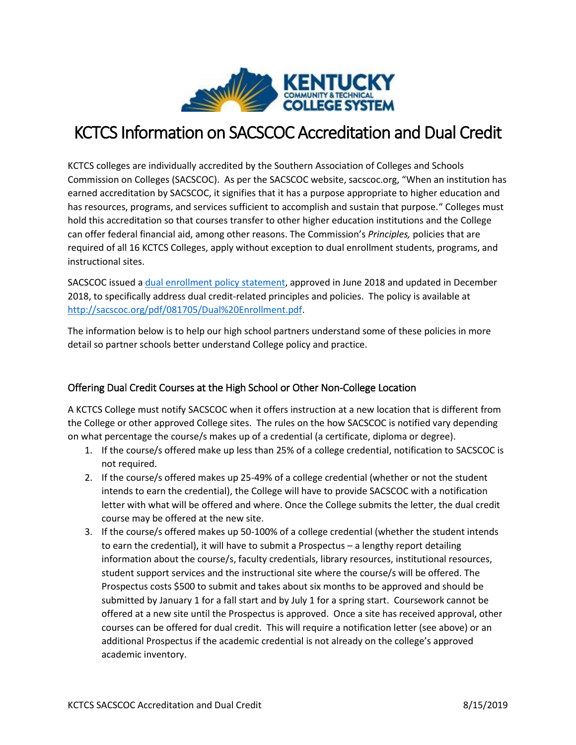

# KCTCS Information on SACSCOC Accreditation and Dual Credit

KCTCS colleges are individually accredited by the Southern Association of Colleges and Schools Commission on Colleges (SACSCOC). As per the SACSCOC website, sacscoc.org, "When an institution has earned accreditation by SACSCOC, it signifies that it has a purpose appropriate to higher education and has resources, programs, and services sufficient to accomplish and sustain that purpose." Colleges must hold this accreditation so that courses transfer to other higher education institutions and the College can offer federal financial aid, among other reasons. The Commission's *Principles,* policies that are required of all 16 KCTCS Colleges, apply without exception to dual enrollment students, programs, and instructional sites.

SACSCOC issued a [dual enrollment policy statement,](http://www.sacscoc.org/pdf/081705/Dual%20Enrollment.pdf) approved in June 2018 and updated in December 2018, to specifically address dual credit-related principles and policies. The policy is available at [http://sacscoc.org/pdf/081705/Dual%20Enrollment.pdf.](http://sacscoc.org/pdf/081705/Dual%20Enrollment.pdf)

The information below is to help our high school partners understand some of these policies in more detail so partner schools better understand College policy and practice.

## Offering Dual Credit Courses at the High School or Other Non-College Location

A KCTCS College must notify SACSCOC when it offers instruction at a new location that is different from the College or other approved College sites. The rules on the how SACSCOC is notified vary depending on what percentage the course/s makes up of a credential (a certificate, diploma or degree).

- 1. If the course/s offered make up less than 25% of a college credential, notification to SACSCOC is not required.
- 2. If the course/s offered makes up 25-49% of a college credential (whether or not the student intends to earn the credential), the College will have to provide SACSCOC with a notification letter with what will be offered and where. Once the College submits the letter, the dual credit course may be offered at the new site.
- 3. If the course/s offered makes up 50-100% of a college credential (whether the student intends to earn the credential), it will have to submit a Prospectus – a lengthy report detailing information about the course/s, faculty credentials, library resources, institutional resources, student support services and the instructional site where the course/s will be offered. The Prospectus costs \$500 to submit and takes about six months to be approved and should be submitted by January 1 for a fall start and by July 1 for a spring start. Coursework cannot be offered at a new site until the Prospectus is approved. Once a site has received approval, other courses can be offered for dual credit. This will require a notification letter (see above) or an additional Prospectus if the academic credential is not already on the college's approved academic inventory.